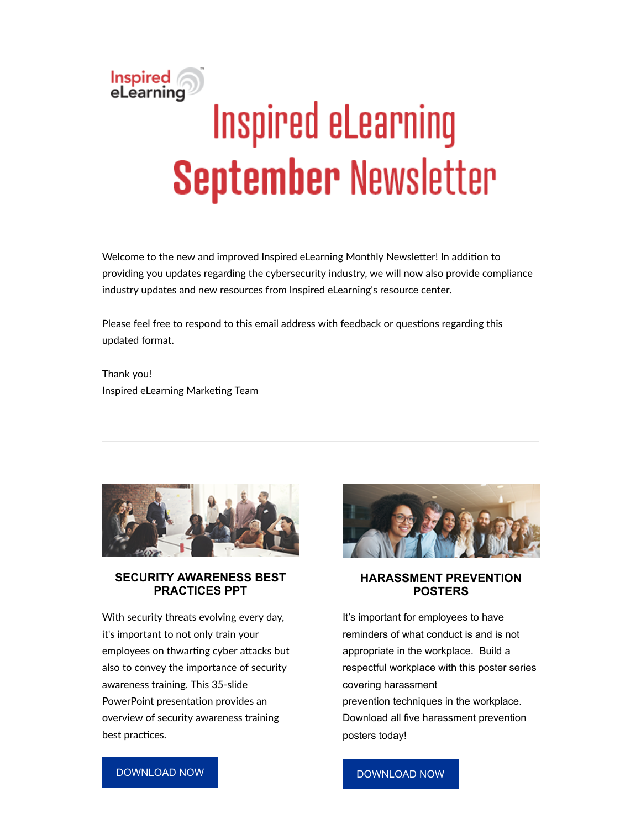# Inspired<br>eLearning **Inspired eLearning September Newsletter**

Welcome to the new and improved Inspired eLearning Monthly Newsletter! In addition to providing you updates regarding the cybersecurity industry, we will now also provide compliance industry updates and new resources from Inspired eLearning's resource center.

Please feel free to respond to this email address with feedback or questions regarding this updated format.

Thank you! Inspired eLearning Marketing Team



#### **SECURITY AWARENESS BEST PRACTICES PPT**

With security threats evolving every day, it's important to not only train your employees on thwarting cyber attacks but also to convey the importance of security awareness training. This 35-slide PowerPoint presentation provides an overview of security awareness training best practices.



#### **HARASSMENT PREVENTION POSTERS**

It's important for employees to have reminders of what conduct is and is not appropriate in the workplace. Build a respectful workplace with this poster series covering harassment prevention techniques in the workplace. Download all five harassment prevention posters today!

#### [DOWNLOAD NOW](https://inspiredelearning.com/resource/security-awareness-training-ppt/?utm_source=Marketo&utm_medium=September2019_Newsletter)

#### [DOWNLOAD NOW](https://inspiredelearning.com/resource/harassment-prevention-posters/?utm_source=Marketo&utm_medium=September2019_Newsletter)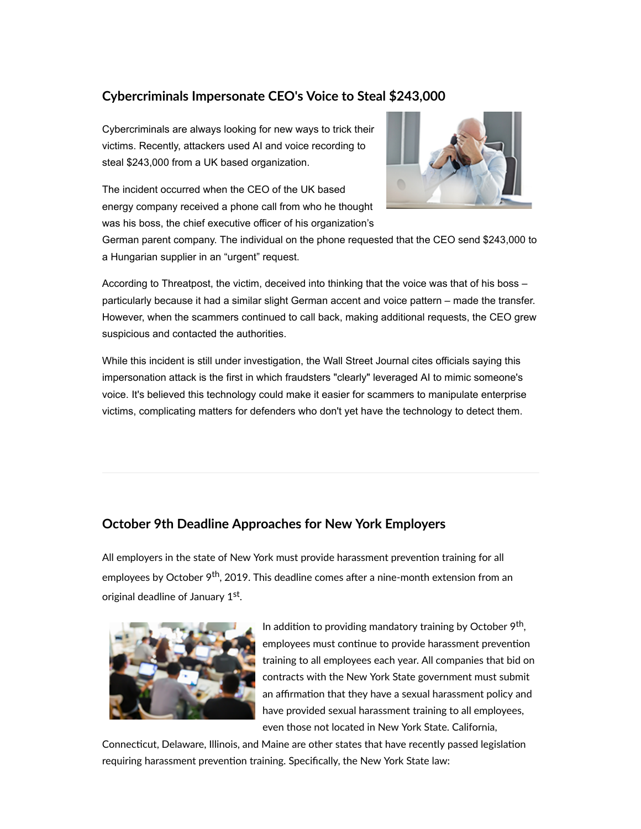# **Cybercriminals Impersonate CEO's Voice to Steal \$243,000**

Cybercriminals are always looking for new ways to trick their victims. Recently, attackers used AI and voice recording to steal \$243,000 from a UK based organization.

The incident occurred when the CEO of the UK based energy company received a phone call from who he thought was his boss, the chief executive officer of his organization's



German parent company. The individual on the phone requested that the CEO send \$243,000 to a Hungarian supplier in an "urgent" request.

According to Threatpost, the victim, deceived into thinking that the voice was that of his boss – particularly because it had a similar slight German accent and voice pattern – made the transfer. However, when the scammers continued to call back, making additional requests, the CEO grew suspicious and contacted the authorities.

While this incident is still under investigation, the Wall Street Journal cites officials saying this impersonation attack is the first in which fraudsters "clearly" leveraged AI to mimic someone's voice. It's believed this technology could make it easier for scammers to manipulate enterprise victims, complicating matters for defenders who don't yet have the technology to detect them.

# **October 9th Deadline Approaches for New York Employers**

All employers in the state of New York must provide harassment prevention training for all employees by October 9<sup>th</sup>, 2019. This deadline comes after a nine-month extension from an original deadline of January 1<sup>st</sup>.



In addition to providing mandatory training by October  $9<sup>th</sup>$ , employees must continue to provide harassment prevention training to all employees each year. All companies that bid on contracts with the New York State government must submit an affirmation that they have a sexual harassment policy and have provided sexual harassment training to all employees, even those not located in New York State. California,

Connecticut, Delaware, Illinois, and Maine are other states that have recently passed legislation requiring harassment prevention training. Specifically, the New York State law: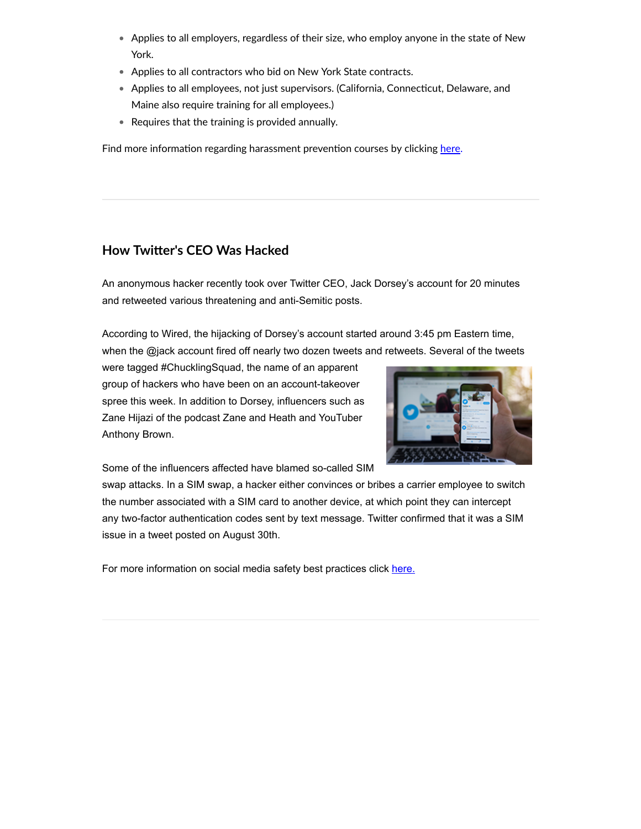- Applies to all employers, regardless of their size, who employ anyone in the state of New York.
- Applies to all contractors who bid on New York State contracts.
- Applies to all employees, not just supervisors. (California, Connecticut, Delaware, and Maine also require training for all employees.)
- Requires that the training is provided annually.

Find more information regarding harassment prevention courses by clicking [here.](https://inspiredelearning.com/hr-compliance/hr-compliance-courses/?utm_source=Marketo&utm_medium=September2019_Newsletter)

### **How Twier's CEO Was Hacked**

An anonymous hacker recently took over Twitter CEO, Jack Dorsey's account for 20 minutes and retweeted various threatening and anti-Semitic posts.

According to Wired, the hijacking of Dorsey's account started around 3:45 pm Eastern time, when the @jack account fired off nearly two dozen tweets and retweets. Several of the tweets

were tagged #ChucklingSquad, the name of an apparent group of hackers who have been on an account-takeover spree this week. In addition to Dorsey, influencers such as Zane Hijazi of the podcast Zane and Heath and YouTuber Anthony Brown.



Some of the influencers affected have blamed so-called SIM

swap attacks. In a SIM swap, a hacker either convinces or bribes a carrier employee to switch the number associated with a SIM card to another device, at which point they can intercept any two-factor authentication codes sent by text message. Twitter confirmed that it was a SIM issue in a tweet posted on August 30th.

For more information on social media safety best practices click [here.](https://inspiredelearning.com/resource/social-media-safety-infographic/)